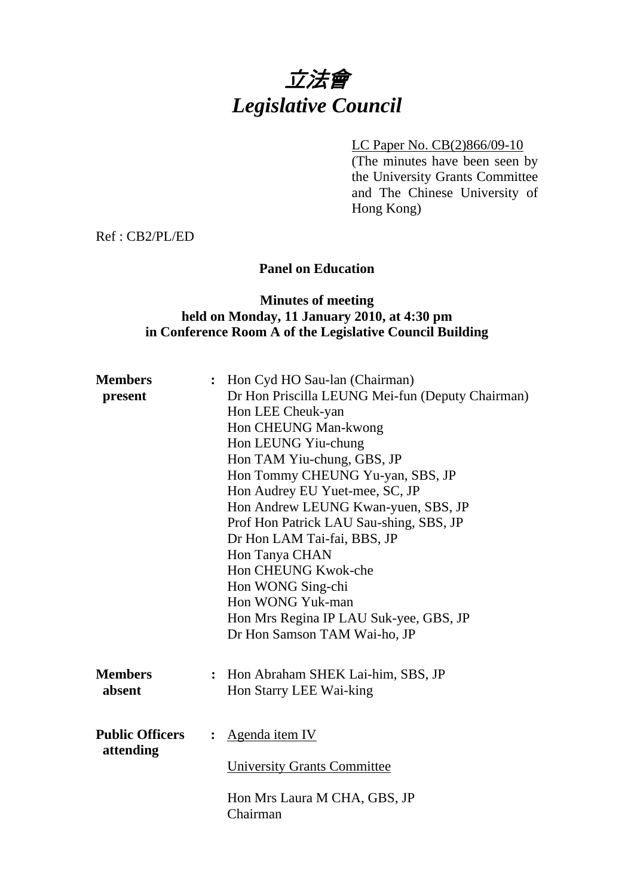# 立法會 *Legislative Council*

# LC Paper No. CB(2)866/09-10

(The minutes have been seen by the University Grants Committee and The Chinese University of Hong Kong)

Ref : CB2/PL/ED

# **Panel on Education**

#### **Minutes of meeting held on Monday, 11 January 2010, at 4:30 pm in Conference Room A of the Legislative Council Building**

| <b>Members</b>         | Hon Cyd HO Sau-lan (Chairman)                    |
|------------------------|--------------------------------------------------|
| present                | Dr Hon Priscilla LEUNG Mei-fun (Deputy Chairman) |
|                        | Hon LEE Cheuk-yan                                |
|                        | Hon CHEUNG Man-kwong                             |
|                        | Hon LEUNG Yiu-chung                              |
|                        | Hon TAM Yiu-chung, GBS, JP                       |
|                        | Hon Tommy CHEUNG Yu-yan, SBS, JP                 |
|                        | Hon Audrey EU Yuet-mee, SC, JP                   |
|                        | Hon Andrew LEUNG Kwan-yuen, SBS, JP              |
|                        | Prof Hon Patrick LAU Sau-shing, SBS, JP          |
|                        | Dr Hon LAM Tai-fai, BBS, JP                      |
|                        | Hon Tanya CHAN                                   |
|                        | Hon CHEUNG Kwok-che                              |
|                        | Hon WONG Sing-chi                                |
|                        | Hon WONG Yuk-man                                 |
|                        | Hon Mrs Regina IP LAU Suk-yee, GBS, JP           |
|                        | Dr Hon Samson TAM Wai-ho, JP                     |
|                        |                                                  |
| <b>Members</b>         | : Hon Abraham SHEK Lai-him, SBS, JP              |
| absent                 | Hon Starry LEE Wai-king                          |
|                        |                                                  |
|                        |                                                  |
| <b>Public Officers</b> | : Agenda item IV                                 |
| attending              |                                                  |
|                        | <b>University Grants Committee</b>               |
|                        |                                                  |
|                        | Hon Mrs Laura M CHA, GBS, JP                     |
|                        | Chairman                                         |
|                        |                                                  |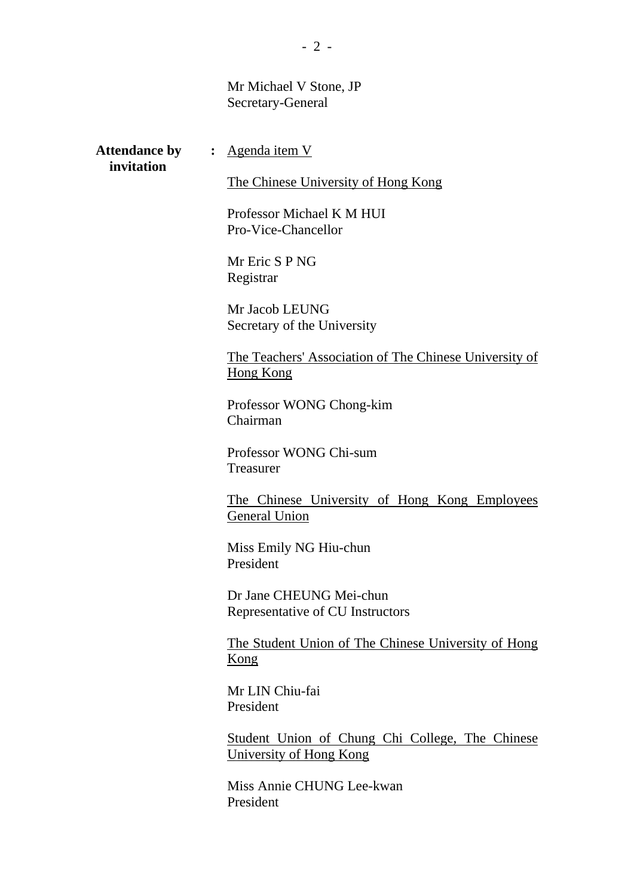#### Mr Michael V Stone, JP Secretary-General

**invitation**

Attendance by : Agenda item V

The Chinese University of Hong Kong

Professor Michael K M HUI Pro-Vice-Chancellor

Mr Eric S P NG Registrar

Mr Jacob LEUNG Secretary of the University

The Teachers' Association of The Chinese University of Hong Kong

Professor WONG Chong-kim Chairman

Professor WONG Chi-sum Treasurer

The Chinese University of Hong Kong Employees General Union

Miss Emily NG Hiu-chun President

Dr Jane CHEUNG Mei-chun Representative of CU Instructors

The Student Union of The Chinese University of Hong Kong

Mr LIN Chiu-fai President

Student Union of Chung Chi College, The Chinese University of Hong Kong

Miss Annie CHUNG Lee-kwan President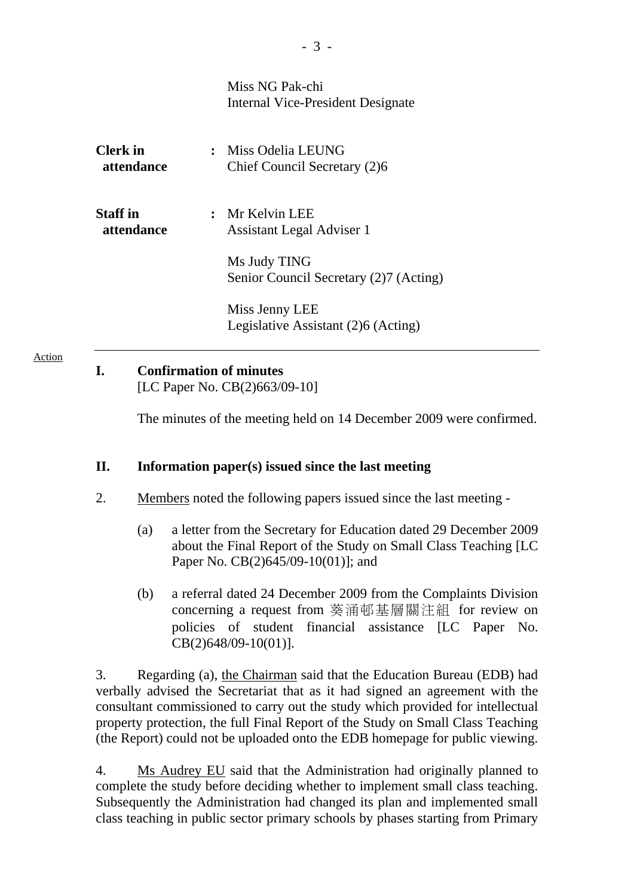|                               | Miss NG Pak-chi<br>Internal Vice-President Designate   |
|-------------------------------|--------------------------------------------------------|
| <b>Clerk</b> in<br>attendance | : Miss Odelia LEUNG<br>Chief Council Secretary (2)6    |
| <b>Staff</b> in<br>attendance | $:$ Mr Kelvin LEE<br>Assistant Legal Adviser 1         |
|                               | Ms Judy TING<br>Senior Council Secretary (2)7 (Acting) |
|                               | Miss Jenny LEE<br>Legislative Assistant (2)6 (Acting)  |

# **I. Confirmation of minutes**

Action

[LC Paper No. CB(2)663/09-10]

The minutes of the meeting held on 14 December 2009 were confirmed.

## **II. Information paper(s) issued since the last meeting**

- 2. Members noted the following papers issued since the last meeting
	- (a) a letter from the Secretary for Education dated 29 December 2009 about the Final Report of the Study on Small Class Teaching [LC Paper No. CB(2)645/09-10(01)]; and
	- (b) a referral dated 24 December 2009 from the Complaints Division concerning a request from 葵涌邨基層關注組 for review on policies of student financial assistance [LC Paper No. CB(2)648/09-10(01)].

3. Regarding (a), the Chairman said that the Education Bureau (EDB) had verbally advised the Secretariat that as it had signed an agreement with the consultant commissioned to carry out the study which provided for intellectual property protection, the full Final Report of the Study on Small Class Teaching (the Report) could not be uploaded onto the EDB homepage for public viewing.

4. Ms Audrey EU said that the Administration had originally planned to complete the study before deciding whether to implement small class teaching. Subsequently the Administration had changed its plan and implemented small class teaching in public sector primary schools by phases starting from Primary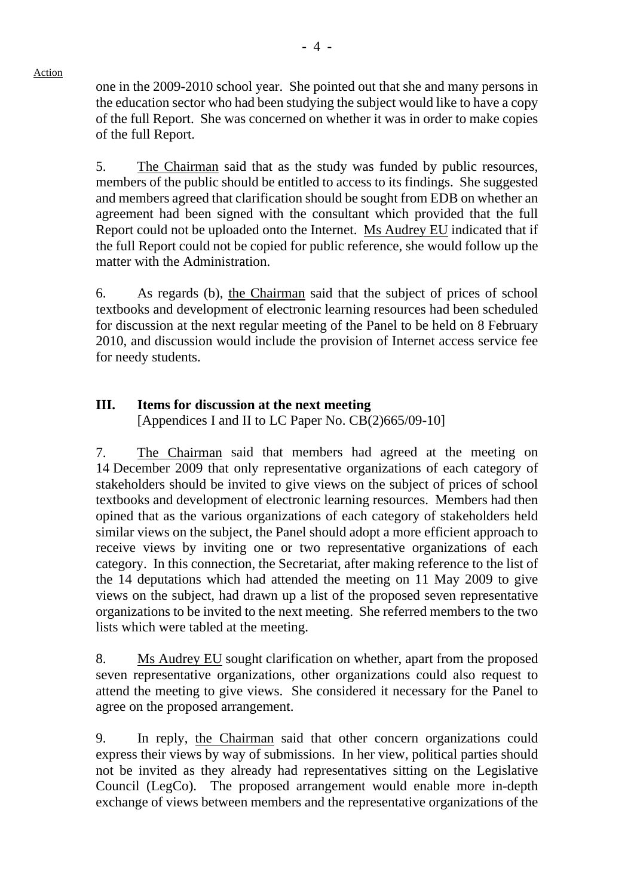one in the 2009-2010 school year. She pointed out that she and many persons in the education sector who had been studying the subject would like to have a copy of the full Report. She was concerned on whether it was in order to make copies of the full Report.

5. The Chairman said that as the study was funded by public resources, members of the public should be entitled to access to its findings. She suggested and members agreed that clarification should be sought from EDB on whether an agreement had been signed with the consultant which provided that the full Report could not be uploaded onto the Internet. Ms Audrey EU indicated that if the full Report could not be copied for public reference, she would follow up the matter with the Administration.

6. As regards (b), the Chairman said that the subject of prices of school textbooks and development of electronic learning resources had been scheduled for discussion at the next regular meeting of the Panel to be held on 8 February 2010, and discussion would include the provision of Internet access service fee for needy students.

# **III. Items for discussion at the next meeting**

[Appendices I and II to LC Paper No. CB(2)665/09-10]

7. The Chairman said that members had agreed at the meeting on 14 December 2009 that only representative organizations of each category of stakeholders should be invited to give views on the subject of prices of school textbooks and development of electronic learning resources. Members had then opined that as the various organizations of each category of stakeholders held similar views on the subject, the Panel should adopt a more efficient approach to receive views by inviting one or two representative organizations of each category. In this connection, the Secretariat, after making reference to the list of the 14 deputations which had attended the meeting on 11 May 2009 to give views on the subject, had drawn up a list of the proposed seven representative organizations to be invited to the next meeting. She referred members to the two lists which were tabled at the meeting.

8. Ms Audrey EU sought clarification on whether, apart from the proposed seven representative organizations, other organizations could also request to attend the meeting to give views. She considered it necessary for the Panel to agree on the proposed arrangement.

9. In reply, the Chairman said that other concern organizations could express their views by way of submissions. In her view, political parties should not be invited as they already had representatives sitting on the Legislative Council (LegCo). The proposed arrangement would enable more in-depth exchange of views between members and the representative organizations of the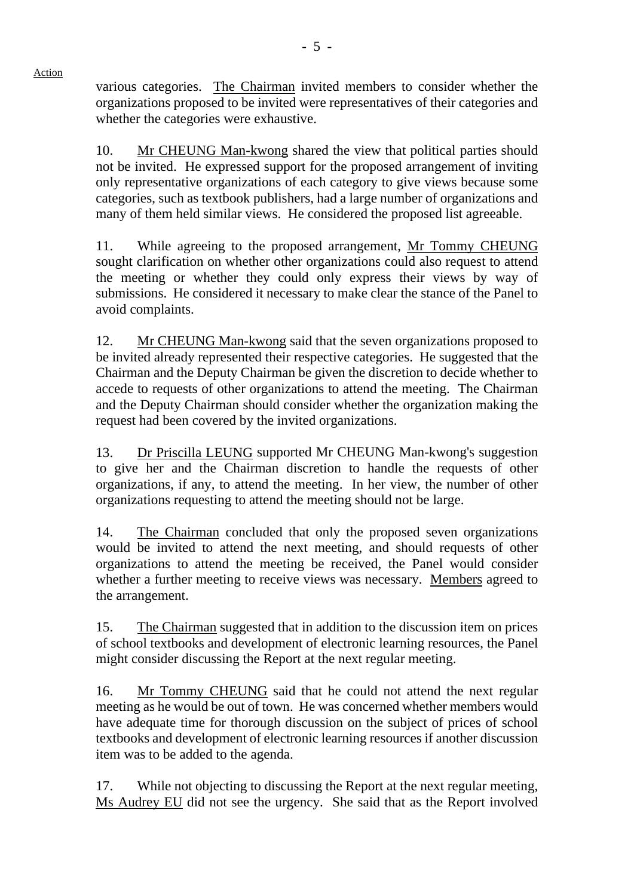various categories. The Chairman invited members to consider whether the organizations proposed to be invited were representatives of their categories and whether the categories were exhaustive.

10. Mr CHEUNG Man-kwong shared the view that political parties should not be invited. He expressed support for the proposed arrangement of inviting only representative organizations of each category to give views because some categories, such as textbook publishers, had a large number of organizations and many of them held similar views. He considered the proposed list agreeable.

11. While agreeing to the proposed arrangement, Mr Tommy CHEUNG sought clarification on whether other organizations could also request to attend the meeting or whether they could only express their views by way of submissions. He considered it necessary to make clear the stance of the Panel to avoid complaints.

12. Mr CHEUNG Man-kwong said that the seven organizations proposed to be invited already represented their respective categories. He suggested that the Chairman and the Deputy Chairman be given the discretion to decide whether to accede to requests of other organizations to attend the meeting. The Chairman and the Deputy Chairman should consider whether the organization making the request had been covered by the invited organizations.

13. Dr Priscilla LEUNG supported Mr CHEUNG Man-kwong's suggestion to give her and the Chairman discretion to handle the requests of other organizations, if any, to attend the meeting. In her view, the number of other organizations requesting to attend the meeting should not be large.

14. The Chairman concluded that only the proposed seven organizations would be invited to attend the next meeting, and should requests of other organizations to attend the meeting be received, the Panel would consider whether a further meeting to receive views was necessary. Members agreed to the arrangement.

15. The Chairman suggested that in addition to the discussion item on prices of school textbooks and development of electronic learning resources, the Panel might consider discussing the Report at the next regular meeting.

16. Mr Tommy CHEUNG said that he could not attend the next regular meeting as he would be out of town. He was concerned whether members would have adequate time for thorough discussion on the subject of prices of school textbooks and development of electronic learning resources if another discussion item was to be added to the agenda.

17. While not objecting to discussing the Report at the next regular meeting, Ms Audrey EU did not see the urgency. She said that as the Report involved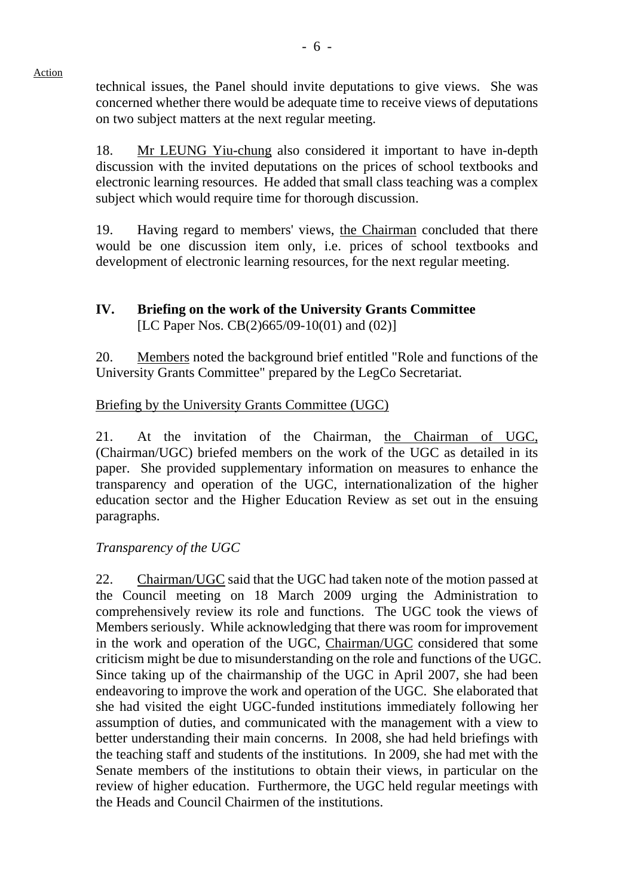technical issues, the Panel should invite deputations to give views. She was concerned whether there would be adequate time to receive views of deputations on two subject matters at the next regular meeting.

18. Mr LEUNG Yiu-chung also considered it important to have in-depth discussion with the invited deputations on the prices of school textbooks and electronic learning resources. He added that small class teaching was a complex subject which would require time for thorough discussion.

19. Having regard to members' views, the Chairman concluded that there would be one discussion item only, i.e. prices of school textbooks and development of electronic learning resources, for the next regular meeting.

## **IV. Briefing on the work of the University Grants Committee** [LC Paper Nos. CB(2)665/09-10(01) and (02)]

20. Members noted the background brief entitled "Role and functions of the University Grants Committee" prepared by the LegCo Secretariat.

# Briefing by the University Grants Committee (UGC)

21. At the invitation of the Chairman, the Chairman of UGC, (Chairman/UGC) briefed members on the work of the UGC as detailed in its paper. She provided supplementary information on measures to enhance the transparency and operation of the UGC, internationalization of the higher education sector and the Higher Education Review as set out in the ensuing paragraphs.

## *Transparency of the UGC*

22. Chairman/UGC said that the UGC had taken note of the motion passed at the Council meeting on 18 March 2009 urging the Administration to comprehensively review its role and functions. The UGC took the views of Members seriously. While acknowledging that there was room for improvement in the work and operation of the UGC, Chairman/UGC considered that some criticism might be due to misunderstanding on the role and functions of the UGC. Since taking up of the chairmanship of the UGC in April 2007, she had been endeavoring to improve the work and operation of the UGC. She elaborated that she had visited the eight UGC-funded institutions immediately following her assumption of duties, and communicated with the management with a view to better understanding their main concerns. In 2008, she had held briefings with the teaching staff and students of the institutions. In 2009, she had met with the Senate members of the institutions to obtain their views, in particular on the review of higher education. Furthermore, the UGC held regular meetings with the Heads and Council Chairmen of the institutions.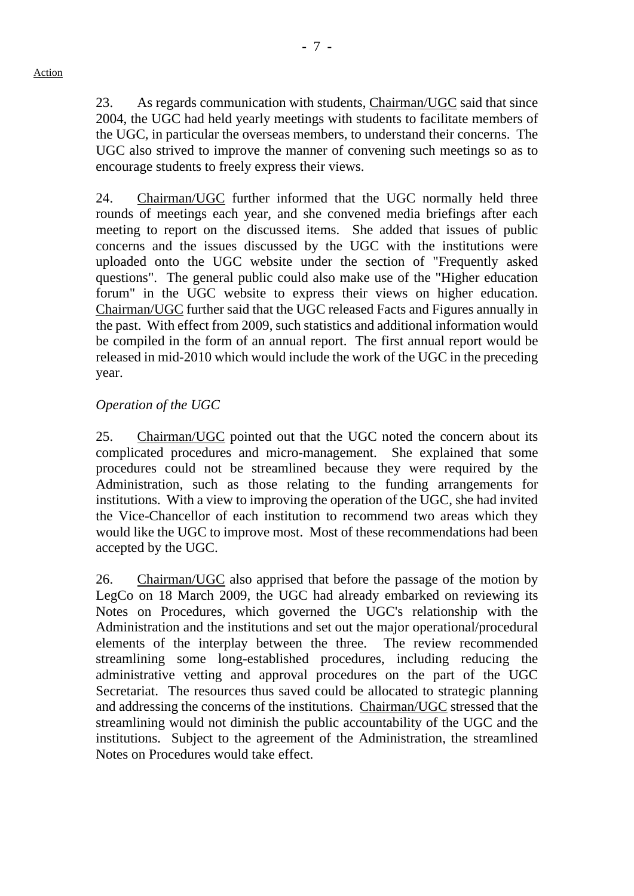23. As regards communication with students, Chairman/UGC said that since 2004, the UGC had held yearly meetings with students to facilitate members of the UGC, in particular the overseas members, to understand their concerns. The UGC also strived to improve the manner of convening such meetings so as to encourage students to freely express their views.

24. Chairman/UGC further informed that the UGC normally held three rounds of meetings each year, and she convened media briefings after each meeting to report on the discussed items. She added that issues of public concerns and the issues discussed by the UGC with the institutions were uploaded onto the UGC website under the section of "Frequently asked questions". The general public could also make use of the "Higher education forum" in the UGC website to express their views on higher education. Chairman/UGC further said that the UGC released Facts and Figures annually in the past. With effect from 2009, such statistics and additional information would be compiled in the form of an annual report. The first annual report would be released in mid-2010 which would include the work of the UGC in the preceding year.

# *Operation of the UGC*

25. Chairman/UGC pointed out that the UGC noted the concern about its complicated procedures and micro-management. She explained that some procedures could not be streamlined because they were required by the Administration, such as those relating to the funding arrangements for institutions. With a view to improving the operation of the UGC, she had invited the Vice-Chancellor of each institution to recommend two areas which they would like the UGC to improve most. Most of these recommendations had been accepted by the UGC.

26. Chairman/UGC also apprised that before the passage of the motion by LegCo on 18 March 2009, the UGC had already embarked on reviewing its Notes on Procedures, which governed the UGC's relationship with the Administration and the institutions and set out the major operational/procedural elements of the interplay between the three. The review recommended streamlining some long-established procedures, including reducing the administrative vetting and approval procedures on the part of the UGC Secretariat. The resources thus saved could be allocated to strategic planning and addressing the concerns of the institutions. Chairman/UGC stressed that the streamlining would not diminish the public accountability of the UGC and the institutions. Subject to the agreement of the Administration, the streamlined Notes on Procedures would take effect.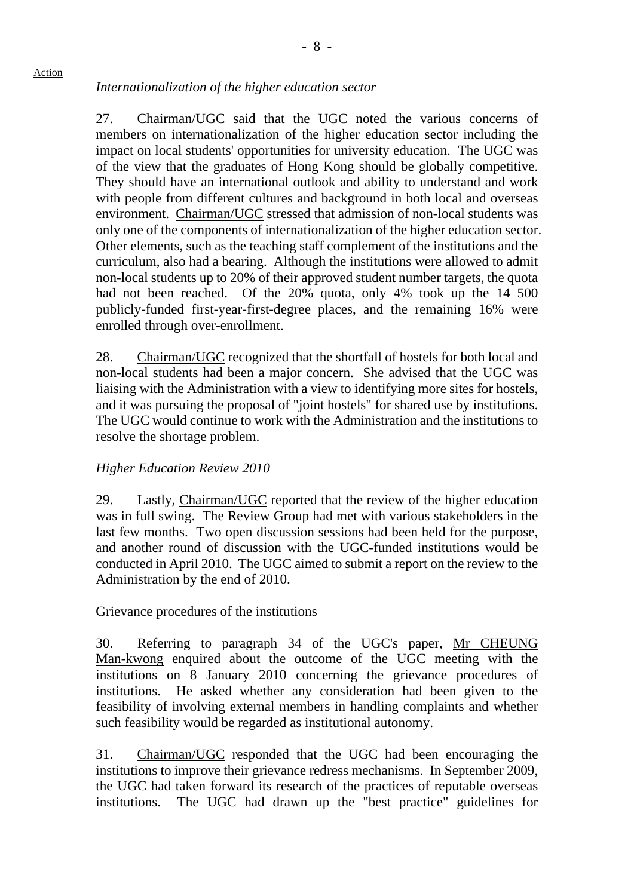*Internationalization of the higher education sector*

27. Chairman/UGC said that the UGC noted the various concerns of members on internationalization of the higher education sector including the impact on local students' opportunities for university education. The UGC was of the view that the graduates of Hong Kong should be globally competitive. They should have an international outlook and ability to understand and work with people from different cultures and background in both local and overseas environment. Chairman/UGC stressed that admission of non-local students was only one of the components of internationalization of the higher education sector. Other elements, such as the teaching staff complement of the institutions and the curriculum, also had a bearing. Although the institutions were allowed to admit non-local students up to 20% of their approved student number targets, the quota had not been reached. Of the 20% quota, only 4% took up the 14 500 publicly-funded first-year-first-degree places, and the remaining 16% were enrolled through over-enrollment.

28. Chairman/UGC recognized that the shortfall of hostels for both local and non-local students had been a major concern. She advised that the UGC was liaising with the Administration with a view to identifying more sites for hostels, and it was pursuing the proposal of "joint hostels" for shared use by institutions. The UGC would continue to work with the Administration and the institutions to resolve the shortage problem.

## *Higher Education Review 2010*

29. Lastly, Chairman/UGC reported that the review of the higher education was in full swing. The Review Group had met with various stakeholders in the last few months. Two open discussion sessions had been held for the purpose, and another round of discussion with the UGC-funded institutions would be conducted in April 2010. The UGC aimed to submit a report on the review to the Administration by the end of 2010.

#### Grievance procedures of the institutions

30. Referring to paragraph 34 of the UGC's paper, Mr CHEUNG Man-kwong enquired about the outcome of the UGC meeting with the institutions on 8 January 2010 concerning the grievance procedures of institutions. He asked whether any consideration had been given to the feasibility of involving external members in handling complaints and whether such feasibility would be regarded as institutional autonomy.

31. Chairman/UGC responded that the UGC had been encouraging the institutions to improve their grievance redress mechanisms. In September 2009, the UGC had taken forward its research of the practices of reputable overseas institutions. The UGC had drawn up the "best practice" guidelines for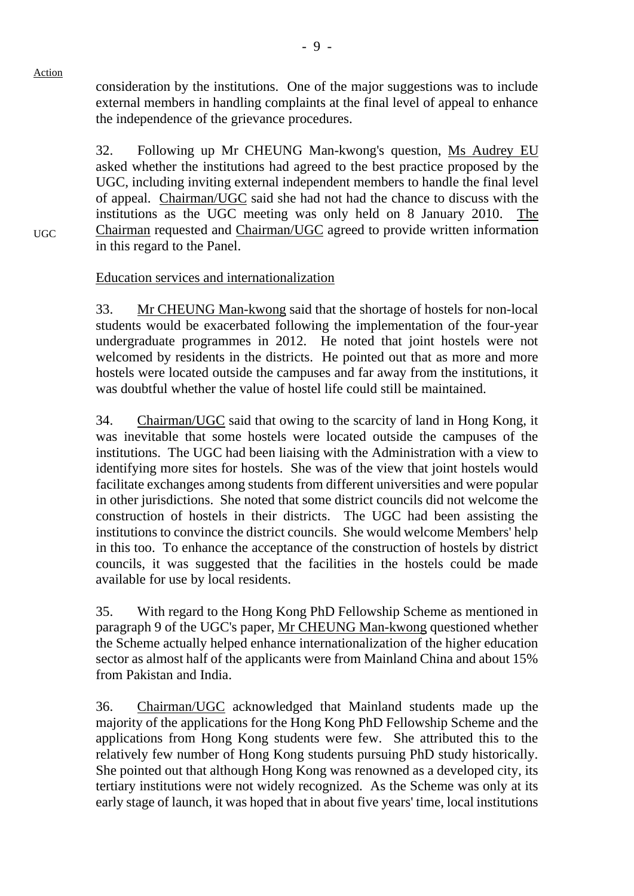UGC

consideration by the institutions. One of the major suggestions was to include external members in handling complaints at the final level of appeal to enhance the independence of the grievance procedures.

32. Following up Mr CHEUNG Man-kwong's question, Ms Audrey EU asked whether the institutions had agreed to the best practice proposed by the UGC, including inviting external independent members to handle the final level of appeal. Chairman/UGC said she had not had the chance to discuss with the institutions as the UGC meeting was only held on 8 January 2010. The Chairman requested and Chairman/UGC agreed to provide written information in this regard to the Panel.

Education services and internationalization

33. Mr CHEUNG Man-kwong said that the shortage of hostels for non-local students would be exacerbated following the implementation of the four-year undergraduate programmes in 2012. He noted that joint hostels were not welcomed by residents in the districts. He pointed out that as more and more hostels were located outside the campuses and far away from the institutions, it was doubtful whether the value of hostel life could still be maintained.

34. Chairman/UGC said that owing to the scarcity of land in Hong Kong, it was inevitable that some hostels were located outside the campuses of the institutions. The UGC had been liaising with the Administration with a view to identifying more sites for hostels. She was of the view that joint hostels would facilitate exchanges among students from different universities and were popular in other jurisdictions. She noted that some district councils did not welcome the construction of hostels in their districts. The UGC had been assisting the institutions to convince the district councils. She would welcome Members' help in this too. To enhance the acceptance of the construction of hostels by district councils, it was suggested that the facilities in the hostels could be made available for use by local residents.

35. With regard to the Hong Kong PhD Fellowship Scheme as mentioned in paragraph 9 of the UGC's paper, Mr CHEUNG Man-kwong questioned whether the Scheme actually helped enhance internationalization of the higher education sector as almost half of the applicants were from Mainland China and about 15% from Pakistan and India.

36. Chairman/UGC acknowledged that Mainland students made up the majority of the applications for the Hong Kong PhD Fellowship Scheme and the applications from Hong Kong students were few. She attributed this to the relatively few number of Hong Kong students pursuing PhD study historically. She pointed out that although Hong Kong was renowned as a developed city, its tertiary institutions were not widely recognized. As the Scheme was only at its early stage of launch, it was hoped that in about five years' time, local institutions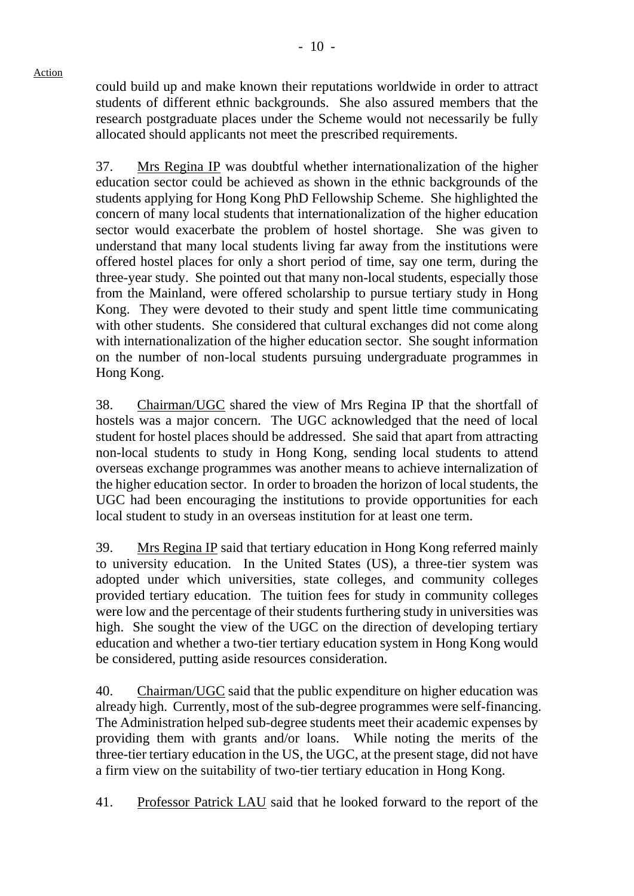could build up and make known their reputations worldwide in order to attract students of different ethnic backgrounds. She also assured members that the research postgraduate places under the Scheme would not necessarily be fully allocated should applicants not meet the prescribed requirements.

37. Mrs Regina IP was doubtful whether internationalization of the higher education sector could be achieved as shown in the ethnic backgrounds of the students applying for Hong Kong PhD Fellowship Scheme. She highlighted the concern of many local students that internationalization of the higher education sector would exacerbate the problem of hostel shortage. She was given to understand that many local students living far away from the institutions were offered hostel places for only a short period of time, say one term, during the three-year study. She pointed out that many non-local students, especially those from the Mainland, were offered scholarship to pursue tertiary study in Hong Kong. They were devoted to their study and spent little time communicating with other students. She considered that cultural exchanges did not come along with internationalization of the higher education sector. She sought information on the number of non-local students pursuing undergraduate programmes in Hong Kong.

38. Chairman/UGC shared the view of Mrs Regina IP that the shortfall of hostels was a major concern. The UGC acknowledged that the need of local student for hostel places should be addressed. She said that apart from attracting non-local students to study in Hong Kong, sending local students to attend overseas exchange programmes was another means to achieve internalization of the higher education sector. In order to broaden the horizon of local students, the UGC had been encouraging the institutions to provide opportunities for each local student to study in an overseas institution for at least one term.

39. Mrs Regina IP said that tertiary education in Hong Kong referred mainly to university education. In the United States (US), a three-tier system was adopted under which universities, state colleges, and community colleges provided tertiary education. The tuition fees for study in community colleges were low and the percentage of their students furthering study in universities was high. She sought the view of the UGC on the direction of developing tertiary education and whether a two-tier tertiary education system in Hong Kong would be considered, putting aside resources consideration.

40. Chairman/UGC said that the public expenditure on higher education was already high. Currently, most of the sub-degree programmes were self-financing. The Administration helped sub-degree students meet their academic expenses by providing them with grants and/or loans. While noting the merits of the three-tier tertiary education in the US, the UGC, at the present stage, did not have a firm view on the suitability of two-tier tertiary education in Hong Kong.

41. Professor Patrick LAU said that he looked forward to the report of the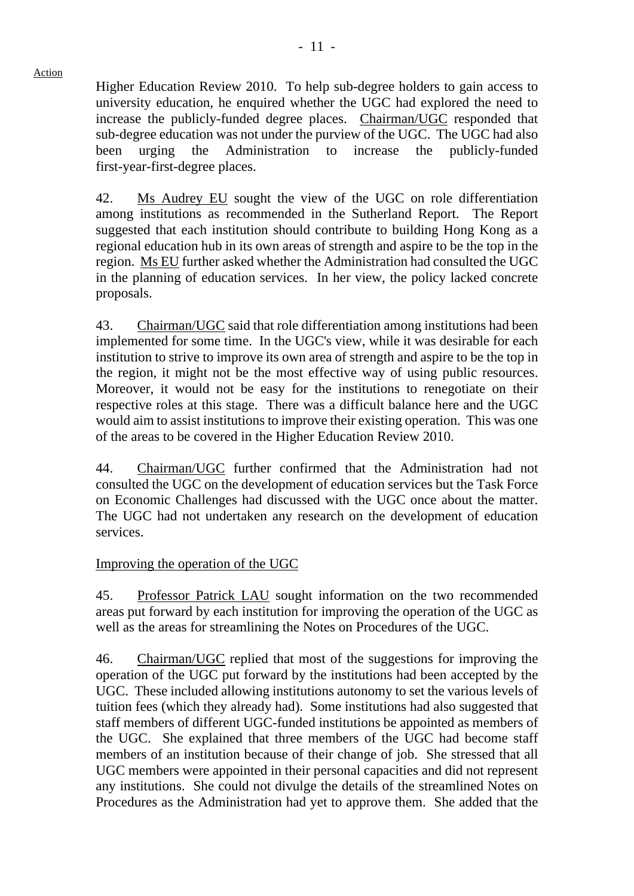Higher Education Review 2010. To help sub-degree holders to gain access to university education, he enquired whether the UGC had explored the need to increase the publicly-funded degree places. Chairman/UGC responded that sub-degree education was not under the purview of the UGC. The UGC had also been urging the Administration to increase the publicly-funded first-year-first-degree places.

42. Ms Audrey EU sought the view of the UGC on role differentiation among institutions as recommended in the Sutherland Report. The Report suggested that each institution should contribute to building Hong Kong as a regional education hub in its own areas of strength and aspire to be the top in the region. Ms EU further asked whether the Administration had consulted the UGC in the planning of education services. In her view, the policy lacked concrete proposals.

43. Chairman/UGC said that role differentiation among institutions had been implemented for some time. In the UGC's view, while it was desirable for each institution to strive to improve its own area of strength and aspire to be the top in the region, it might not be the most effective way of using public resources. Moreover, it would not be easy for the institutions to renegotiate on their respective roles at this stage. There was a difficult balance here and the UGC would aim to assist institutions to improve their existing operation. This was one of the areas to be covered in the Higher Education Review 2010.

44. Chairman/UGC further confirmed that the Administration had not consulted the UGC on the development of education services but the Task Force on Economic Challenges had discussed with the UGC once about the matter. The UGC had not undertaken any research on the development of education services.

# Improving the operation of the UGC

45. Professor Patrick LAU sought information on the two recommended areas put forward by each institution for improving the operation of the UGC as well as the areas for streamlining the Notes on Procedures of the UGC.

46. Chairman/UGC replied that most of the suggestions for improving the operation of the UGC put forward by the institutions had been accepted by the UGC. These included allowing institutions autonomy to set the various levels of tuition fees (which they already had). Some institutions had also suggested that staff members of different UGC-funded institutions be appointed as members of the UGC. She explained that three members of the UGC had become staff members of an institution because of their change of job. She stressed that all UGC members were appointed in their personal capacities and did not represent any institutions. She could not divulge the details of the streamlined Notes on Procedures as the Administration had yet to approve them. She added that the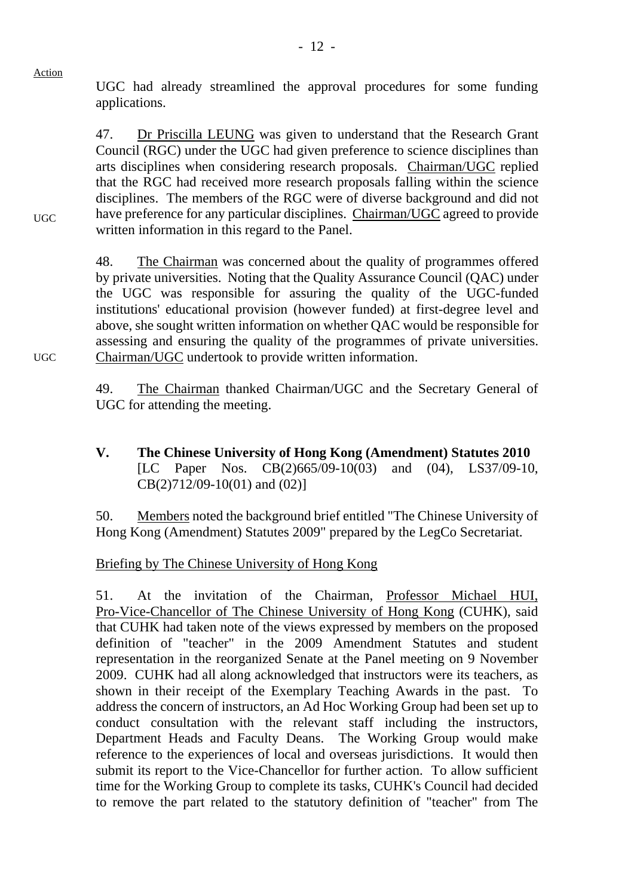UGC had already streamlined the approval procedures for some funding applications.

47. Dr Priscilla LEUNG was given to understand that the Research Grant Council (RGC) under the UGC had given preference to science disciplines than arts disciplines when considering research proposals. Chairman/UGC replied that the RGC had received more research proposals falling within the science disciplines. The members of the RGC were of diverse background and did not have preference for any particular disciplines. Chairman/UGC agreed to provide written information in this regard to the Panel.

48. The Chairman was concerned about the quality of programmes offered by private universities. Noting that the Quality Assurance Council (QAC) under the UGC was responsible for assuring the quality of the UGC-funded institutions' educational provision (however funded) at first-degree level and above, she sought written information on whether QAC would be responsible for assessing and ensuring the quality of the programmes of private universities. Chairman/UGC undertook to provide written information.

49. The Chairman thanked Chairman/UGC and the Secretary General of UGC for attending the meeting.

**V. The Chinese University of Hong Kong (Amendment) Statutes 2010**  [LC Paper Nos. CB(2)665/09-10(03) and (04), LS37/09-10, CB(2)712/09-10(01) and (02)]

50. Members noted the background brief entitled "The Chinese University of Hong Kong (Amendment) Statutes 2009" prepared by the LegCo Secretariat.

## Briefing by The Chinese University of Hong Kong

51. At the invitation of the Chairman, Professor Michael HUI, Pro-Vice-Chancellor of The Chinese University of Hong Kong (CUHK), said that CUHK had taken note of the views expressed by members on the proposed definition of "teacher" in the 2009 Amendment Statutes and student representation in the reorganized Senate at the Panel meeting on 9 November 2009. CUHK had all along acknowledged that instructors were its teachers, as shown in their receipt of the Exemplary Teaching Awards in the past. To address the concern of instructors, an Ad Hoc Working Group had been set up to conduct consultation with the relevant staff including the instructors, Department Heads and Faculty Deans. The Working Group would make reference to the experiences of local and overseas jurisdictions. It would then submit its report to the Vice-Chancellor for further action. To allow sufficient time for the Working Group to complete its tasks, CUHK's Council had decided to remove the part related to the statutory definition of "teacher" from The

UGC

UGC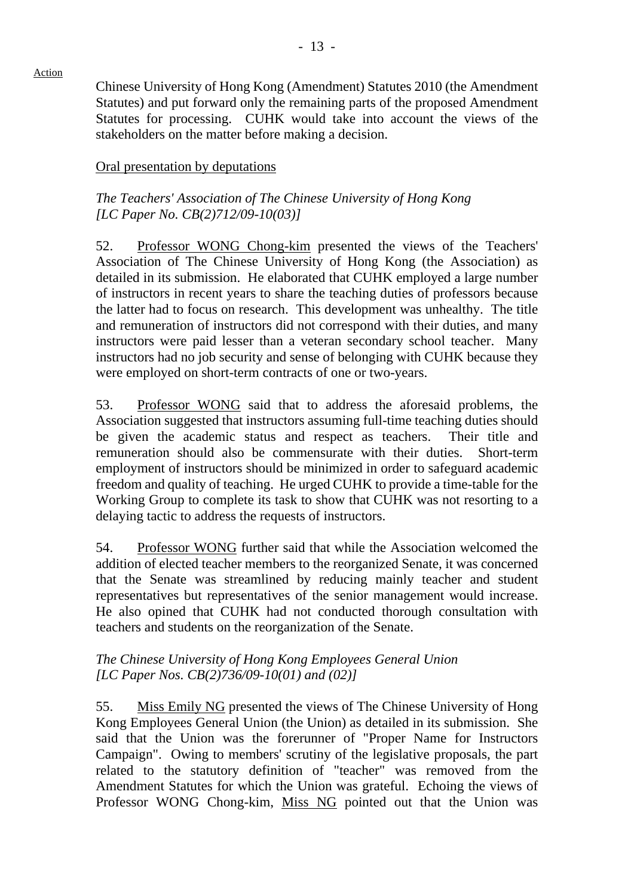Chinese University of Hong Kong (Amendment) Statutes 2010 (the Amendment Statutes) and put forward only the remaining parts of the proposed Amendment Statutes for processing. CUHK would take into account the views of the stakeholders on the matter before making a decision.

# Oral presentation by deputations

# *The Teachers' Association of The Chinese University of Hong Kong [LC Paper No. CB(2)712/09-10(03)]*

52. Professor WONG Chong-kim presented the views of the Teachers' Association of The Chinese University of Hong Kong (the Association) as detailed in its submission. He elaborated that CUHK employed a large number of instructors in recent years to share the teaching duties of professors because the latter had to focus on research. This development was unhealthy. The title and remuneration of instructors did not correspond with their duties, and many instructors were paid lesser than a veteran secondary school teacher. Many instructors had no job security and sense of belonging with CUHK because they were employed on short-term contracts of one or two-years.

53. Professor WONG said that to address the aforesaid problems, the Association suggested that instructors assuming full-time teaching duties should be given the academic status and respect as teachers. Their title and remuneration should also be commensurate with their duties. Short-term employment of instructors should be minimized in order to safeguard academic freedom and quality of teaching. He urged CUHK to provide a time-table for the Working Group to complete its task to show that CUHK was not resorting to a delaying tactic to address the requests of instructors.

54. Professor WONG further said that while the Association welcomed the addition of elected teacher members to the reorganized Senate, it was concerned that the Senate was streamlined by reducing mainly teacher and student representatives but representatives of the senior management would increase. He also opined that CUHK had not conducted thorough consultation with teachers and students on the reorganization of the Senate.

# *The Chinese University of Hong Kong Employees General Union [LC Paper Nos. CB(2)736/09-10(01) and (02)]*

55. Miss Emily NG presented the views of The Chinese University of Hong Kong Employees General Union (the Union) as detailed in its submission. She said that the Union was the forerunner of "Proper Name for Instructors Campaign". Owing to members' scrutiny of the legislative proposals, the part related to the statutory definition of "teacher" was removed from the Amendment Statutes for which the Union was grateful. Echoing the views of Professor WONG Chong-kim, Miss NG pointed out that the Union was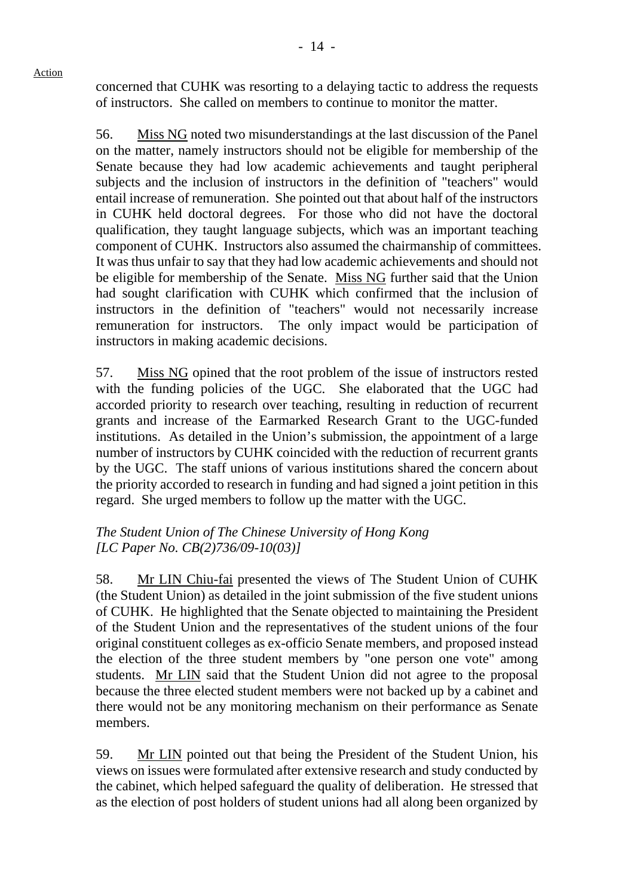concerned that CUHK was resorting to a delaying tactic to address the requests of instructors. She called on members to continue to monitor the matter.

Action

56. Miss NG noted two misunderstandings at the last discussion of the Panel on the matter, namely instructors should not be eligible for membership of the Senate because they had low academic achievements and taught peripheral subjects and the inclusion of instructors in the definition of "teachers" would entail increase of remuneration. She pointed out that about half of the instructors in CUHK held doctoral degrees. For those who did not have the doctoral qualification, they taught language subjects, which was an important teaching component of CUHK. Instructors also assumed the chairmanship of committees. It was thus unfair to say that they had low academic achievements and should not be eligible for membership of the Senate. Miss NG further said that the Union had sought clarification with CUHK which confirmed that the inclusion of instructors in the definition of "teachers" would not necessarily increase remuneration for instructors. The only impact would be participation of instructors in making academic decisions.

57. Miss NG opined that the root problem of the issue of instructors rested with the funding policies of the UGC. She elaborated that the UGC had accorded priority to research over teaching, resulting in reduction of recurrent grants and increase of the Earmarked Research Grant to the UGC-funded institutions. As detailed in the Union's submission, the appointment of a large number of instructors by CUHK coincided with the reduction of recurrent grants by the UGC. The staff unions of various institutions shared the concern about the priority accorded to research in funding and had signed a joint petition in this regard. She urged members to follow up the matter with the UGC.

## *The Student Union of The Chinese University of Hong Kong [LC Paper No. CB(2)736/09-10(03)]*

58. Mr LIN Chiu-fai presented the views of The Student Union of CUHK (the Student Union) as detailed in the joint submission of the five student unions of CUHK. He highlighted that the Senate objected to maintaining the President of the Student Union and the representatives of the student unions of the four original constituent colleges as ex-officio Senate members, and proposed instead the election of the three student members by "one person one vote" among students. Mr LIN said that the Student Union did not agree to the proposal because the three elected student members were not backed up by a cabinet and there would not be any monitoring mechanism on their performance as Senate members.

59. Mr LIN pointed out that being the President of the Student Union, his views on issues were formulated after extensive research and study conducted by the cabinet, which helped safeguard the quality of deliberation. He stressed that as the election of post holders of student unions had all along been organized by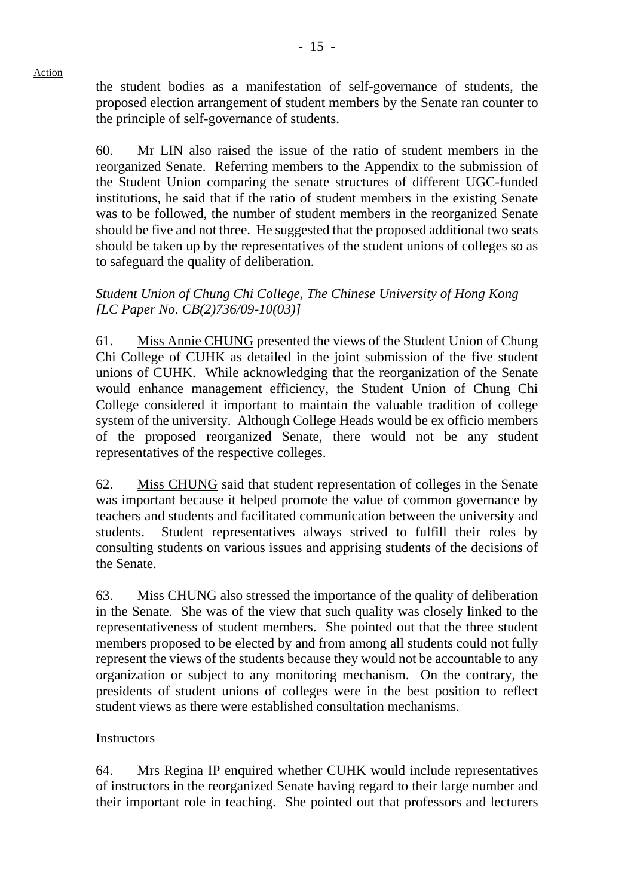the student bodies as a manifestation of self-governance of students, the proposed election arrangement of student members by the Senate ran counter to the principle of self-governance of students.

60. Mr LIN also raised the issue of the ratio of student members in the reorganized Senate. Referring members to the Appendix to the submission of the Student Union comparing the senate structures of different UGC-funded institutions, he said that if the ratio of student members in the existing Senate was to be followed, the number of student members in the reorganized Senate should be five and not three. He suggested that the proposed additional two seats should be taken up by the representatives of the student unions of colleges so as to safeguard the quality of deliberation.

# *Student Union of Chung Chi College, The Chinese University of Hong Kong [LC Paper No. CB(2)736/09-10(03)]*

61. Miss Annie CHUNG presented the views of the Student Union of Chung Chi College of CUHK as detailed in the joint submission of the five student unions of CUHK. While acknowledging that the reorganization of the Senate would enhance management efficiency, the Student Union of Chung Chi College considered it important to maintain the valuable tradition of college system of the university. Although College Heads would be ex officio members of the proposed reorganized Senate, there would not be any student representatives of the respective colleges.

62. Miss CHUNG said that student representation of colleges in the Senate was important because it helped promote the value of common governance by teachers and students and facilitated communication between the university and students. Student representatives always strived to fulfill their roles by consulting students on various issues and apprising students of the decisions of the Senate.

63. Miss CHUNG also stressed the importance of the quality of deliberation in the Senate. She was of the view that such quality was closely linked to the representativeness of student members. She pointed out that the three student members proposed to be elected by and from among all students could not fully represent the views of the students because they would not be accountable to any organization or subject to any monitoring mechanism. On the contrary, the presidents of student unions of colleges were in the best position to reflect student views as there were established consultation mechanisms.

## **Instructors**

64. Mrs Regina IP enquired whether CUHK would include representatives of instructors in the reorganized Senate having regard to their large number and their important role in teaching. She pointed out that professors and lecturers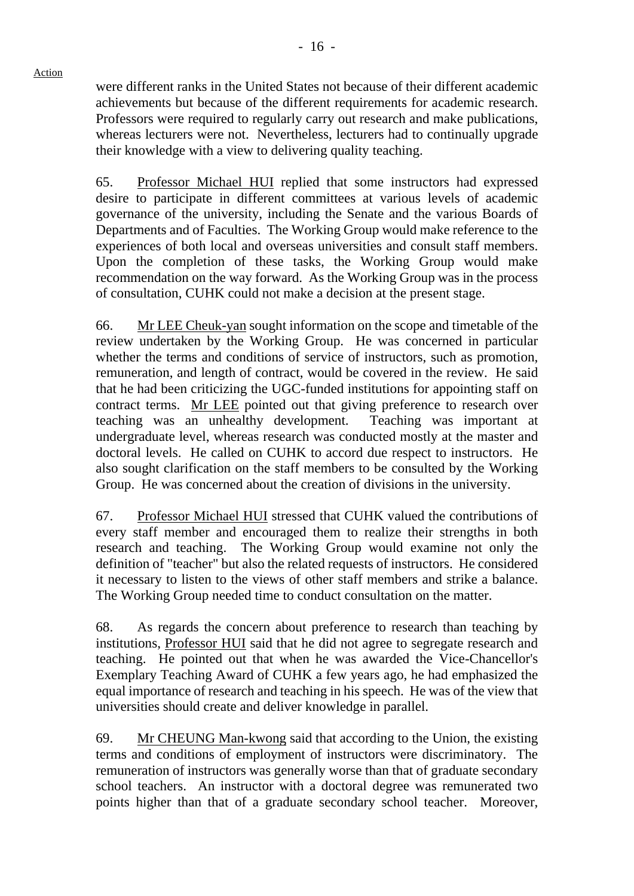were different ranks in the United States not because of their different academic achievements but because of the different requirements for academic research. Professors were required to regularly carry out research and make publications, whereas lecturers were not. Nevertheless, lecturers had to continually upgrade their knowledge with a view to delivering quality teaching.

65. Professor Michael HUI replied that some instructors had expressed desire to participate in different committees at various levels of academic governance of the university, including the Senate and the various Boards of Departments and of Faculties. The Working Group would make reference to the experiences of both local and overseas universities and consult staff members. Upon the completion of these tasks, the Working Group would make recommendation on the way forward. As the Working Group was in the process of consultation, CUHK could not make a decision at the present stage.

66. Mr LEE Cheuk-yan sought information on the scope and timetable of the review undertaken by the Working Group. He was concerned in particular whether the terms and conditions of service of instructors, such as promotion, remuneration, and length of contract, would be covered in the review. He said that he had been criticizing the UGC-funded institutions for appointing staff on contract terms. Mr LEE pointed out that giving preference to research over teaching was an unhealthy development. Teaching was important at undergraduate level, whereas research was conducted mostly at the master and doctoral levels. He called on CUHK to accord due respect to instructors. He also sought clarification on the staff members to be consulted by the Working Group. He was concerned about the creation of divisions in the university.

67. Professor Michael HUI stressed that CUHK valued the contributions of every staff member and encouraged them to realize their strengths in both research and teaching. The Working Group would examine not only the definition of "teacher" but also the related requests of instructors. He considered it necessary to listen to the views of other staff members and strike a balance. The Working Group needed time to conduct consultation on the matter.

68. As regards the concern about preference to research than teaching by institutions, Professor HUI said that he did not agree to segregate research and teaching. He pointed out that when he was awarded the Vice-Chancellor's Exemplary Teaching Award of CUHK a few years ago, he had emphasized the equal importance of research and teaching in his speech. He was of the view that universities should create and deliver knowledge in parallel.

69. Mr CHEUNG Man-kwong said that according to the Union, the existing terms and conditions of employment of instructors were discriminatory. The remuneration of instructors was generally worse than that of graduate secondary school teachers. An instructor with a doctoral degree was remunerated two points higher than that of a graduate secondary school teacher. Moreover,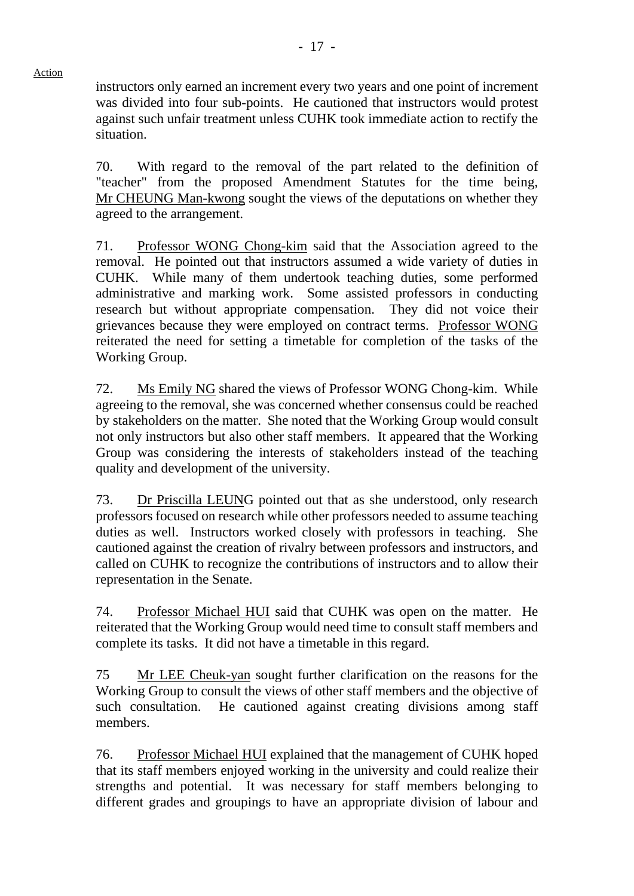instructors only earned an increment every two years and one point of increment was divided into four sub-points. He cautioned that instructors would protest against such unfair treatment unless CUHK took immediate action to rectify the situation.

70. With regard to the removal of the part related to the definition of "teacher" from the proposed Amendment Statutes for the time being, Mr CHEUNG Man-kwong sought the views of the deputations on whether they agreed to the arrangement.

71. Professor WONG Chong-kim said that the Association agreed to the removal. He pointed out that instructors assumed a wide variety of duties in CUHK. While many of them undertook teaching duties, some performed administrative and marking work. Some assisted professors in conducting research but without appropriate compensation. They did not voice their grievances because they were employed on contract terms. Professor WONG reiterated the need for setting a timetable for completion of the tasks of the Working Group.

72. Ms Emily NG shared the views of Professor WONG Chong-kim. While agreeing to the removal, she was concerned whether consensus could be reached by stakeholders on the matter. She noted that the Working Group would consult not only instructors but also other staff members. It appeared that the Working Group was considering the interests of stakeholders instead of the teaching quality and development of the university.

73. Dr Priscilla LEUNG pointed out that as she understood, only research professors focused on research while other professors needed to assume teaching duties as well. Instructors worked closely with professors in teaching. She cautioned against the creation of rivalry between professors and instructors, and called on CUHK to recognize the contributions of instructors and to allow their representation in the Senate.

74. Professor Michael HUI said that CUHK was open on the matter. He reiterated that the Working Group would need time to consult staff members and complete its tasks. It did not have a timetable in this regard.

75 Mr LEE Cheuk-yan sought further clarification on the reasons for the Working Group to consult the views of other staff members and the objective of such consultation. He cautioned against creating divisions among staff members.

76. Professor Michael HUI explained that the management of CUHK hoped that its staff members enjoyed working in the university and could realize their strengths and potential. It was necessary for staff members belonging to different grades and groupings to have an appropriate division of labour and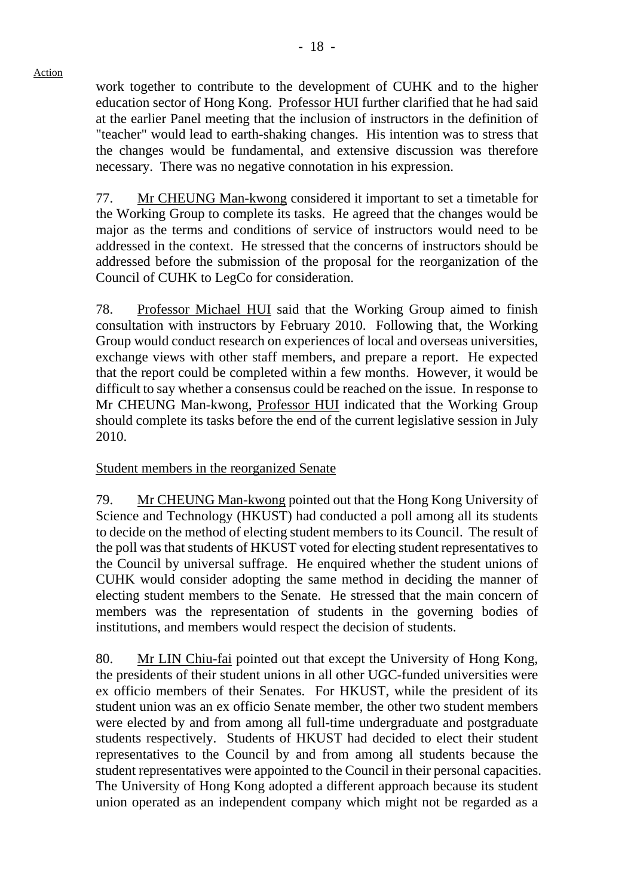work together to contribute to the development of CUHK and to the higher education sector of Hong Kong. Professor HUI further clarified that he had said at the earlier Panel meeting that the inclusion of instructors in the definition of "teacher" would lead to earth-shaking changes. His intention was to stress that the changes would be fundamental, and extensive discussion was therefore necessary. There was no negative connotation in his expression.

77. Mr CHEUNG Man-kwong considered it important to set a timetable for the Working Group to complete its tasks. He agreed that the changes would be major as the terms and conditions of service of instructors would need to be addressed in the context. He stressed that the concerns of instructors should be addressed before the submission of the proposal for the reorganization of the Council of CUHK to LegCo for consideration.

78. Professor Michael HUI said that the Working Group aimed to finish consultation with instructors by February 2010. Following that, the Working Group would conduct research on experiences of local and overseas universities, exchange views with other staff members, and prepare a report. He expected that the report could be completed within a few months. However, it would be difficult to say whether a consensus could be reached on the issue. In response to Mr CHEUNG Man-kwong, Professor HUI indicated that the Working Group should complete its tasks before the end of the current legislative session in July 2010.

Student members in the reorganized Senate

79. Mr CHEUNG Man-kwong pointed out that the Hong Kong University of Science and Technology (HKUST) had conducted a poll among all its students to decide on the method of electing student members to its Council. The result of the poll was that students of HKUST voted for electing student representatives to the Council by universal suffrage. He enquired whether the student unions of CUHK would consider adopting the same method in deciding the manner of electing student members to the Senate. He stressed that the main concern of members was the representation of students in the governing bodies of institutions, and members would respect the decision of students.

80. Mr LIN Chiu-fai pointed out that except the University of Hong Kong, the presidents of their student unions in all other UGC-funded universities were ex officio members of their Senates. For HKUST, while the president of its student union was an ex officio Senate member, the other two student members were elected by and from among all full-time undergraduate and postgraduate students respectively. Students of HKUST had decided to elect their student representatives to the Council by and from among all students because the student representatives were appointed to the Council in their personal capacities. The University of Hong Kong adopted a different approach because its student union operated as an independent company which might not be regarded as a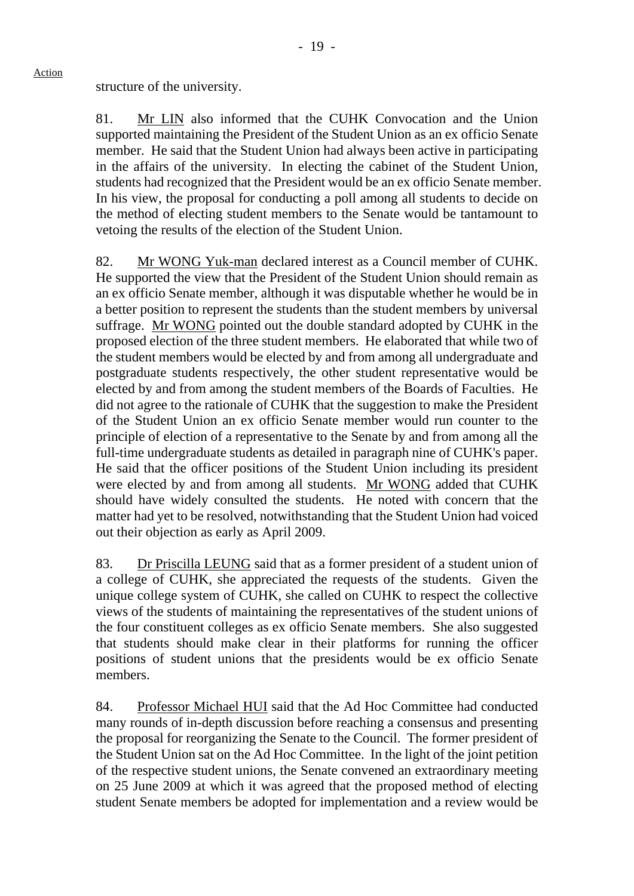# structure of the university.

81. Mr LIN also informed that the CUHK Convocation and the Union supported maintaining the President of the Student Union as an ex officio Senate member. He said that the Student Union had always been active in participating in the affairs of the university. In electing the cabinet of the Student Union, students had recognized that the President would be an ex officio Senate member. In his view, the proposal for conducting a poll among all students to decide on the method of electing student members to the Senate would be tantamount to vetoing the results of the election of the Student Union.

82. Mr WONG Yuk-man declared interest as a Council member of CUHK. He supported the view that the President of the Student Union should remain as an ex officio Senate member, although it was disputable whether he would be in a better position to represent the students than the student members by universal suffrage. Mr WONG pointed out the double standard adopted by CUHK in the proposed election of the three student members. He elaborated that while two of the student members would be elected by and from among all undergraduate and postgraduate students respectively, the other student representative would be elected by and from among the student members of the Boards of Faculties. He did not agree to the rationale of CUHK that the suggestion to make the President of the Student Union an ex officio Senate member would run counter to the principle of election of a representative to the Senate by and from among all the full-time undergraduate students as detailed in paragraph nine of CUHK's paper. He said that the officer positions of the Student Union including its president were elected by and from among all students. Mr WONG added that CUHK should have widely consulted the students. He noted with concern that the matter had yet to be resolved, notwithstanding that the Student Union had voiced out their objection as early as April 2009.

83. Dr Priscilla LEUNG said that as a former president of a student union of a college of CUHK, she appreciated the requests of the students. Given the unique college system of CUHK, she called on CUHK to respect the collective views of the students of maintaining the representatives of the student unions of the four constituent colleges as ex officio Senate members. She also suggested that students should make clear in their platforms for running the officer positions of student unions that the presidents would be ex officio Senate members.

84. Professor Michael HUI said that the Ad Hoc Committee had conducted many rounds of in-depth discussion before reaching a consensus and presenting the proposal for reorganizing the Senate to the Council. The former president of the Student Union sat on the Ad Hoc Committee. In the light of the joint petition of the respective student unions, the Senate convened an extraordinary meeting on 25 June 2009 at which it was agreed that the proposed method of electing student Senate members be adopted for implementation and a review would be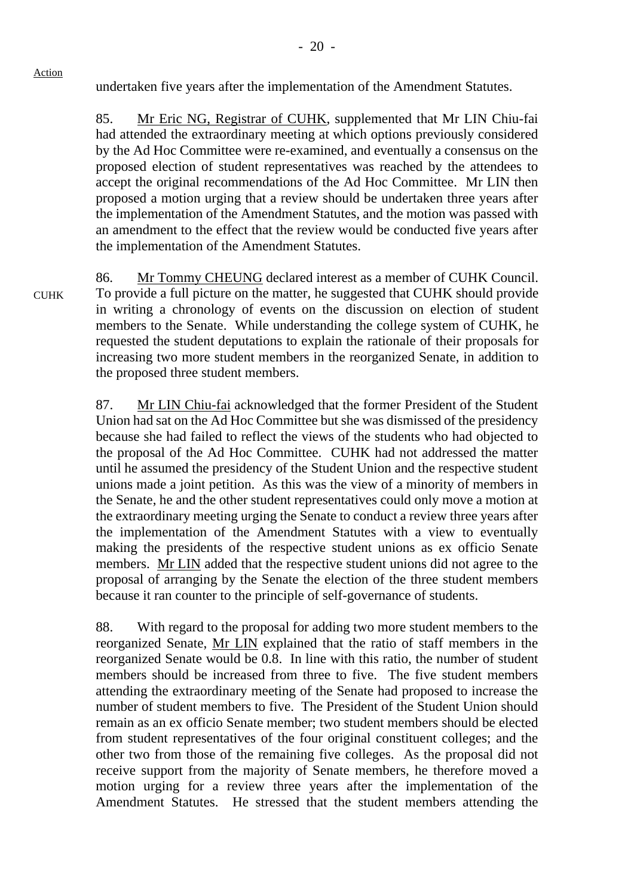undertaken five years after the implementation of the Amendment Statutes.

85. Mr Eric NG, Registrar of CUHK, supplemented that Mr LIN Chiu-fai had attended the extraordinary meeting at which options previously considered by the Ad Hoc Committee were re-examined, and eventually a consensus on the proposed election of student representatives was reached by the attendees to accept the original recommendations of the Ad Hoc Committee. Mr LIN then proposed a motion urging that a review should be undertaken three years after the implementation of the Amendment Statutes, and the motion was passed with an amendment to the effect that the review would be conducted five years after the implementation of the Amendment Statutes.

**CUHK** 86. Mr Tommy CHEUNG declared interest as a member of CUHK Council. To provide a full picture on the matter, he suggested that CUHK should provide in writing a chronology of events on the discussion on election of student members to the Senate. While understanding the college system of CUHK, he requested the student deputations to explain the rationale of their proposals for increasing two more student members in the reorganized Senate, in addition to the proposed three student members.

> 87. Mr LIN Chiu-fai acknowledged that the former President of the Student Union had sat on the Ad Hoc Committee but she was dismissed of the presidency because she had failed to reflect the views of the students who had objected to the proposal of the Ad Hoc Committee. CUHK had not addressed the matter until he assumed the presidency of the Student Union and the respective student unions made a joint petition. As this was the view of a minority of members in the Senate, he and the other student representatives could only move a motion at the extraordinary meeting urging the Senate to conduct a review three years after the implementation of the Amendment Statutes with a view to eventually making the presidents of the respective student unions as ex officio Senate members. Mr LIN added that the respective student unions did not agree to the proposal of arranging by the Senate the election of the three student members because it ran counter to the principle of self-governance of students.

> 88. With regard to the proposal for adding two more student members to the reorganized Senate, Mr LIN explained that the ratio of staff members in the reorganized Senate would be 0.8. In line with this ratio, the number of student members should be increased from three to five. The five student members attending the extraordinary meeting of the Senate had proposed to increase the number of student members to five. The President of the Student Union should remain as an ex officio Senate member; two student members should be elected from student representatives of the four original constituent colleges; and the other two from those of the remaining five colleges. As the proposal did not receive support from the majority of Senate members, he therefore moved a motion urging for a review three years after the implementation of the Amendment Statutes. He stressed that the student members attending the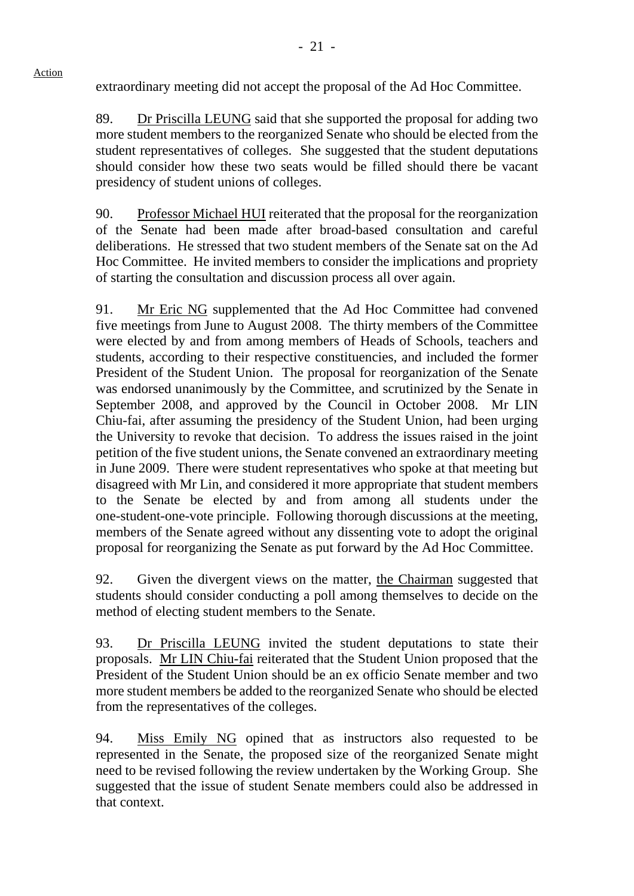extraordinary meeting did not accept the proposal of the Ad Hoc Committee.

89. Dr Priscilla LEUNG said that she supported the proposal for adding two more student members to the reorganized Senate who should be elected from the student representatives of colleges. She suggested that the student deputations should consider how these two seats would be filled should there be vacant presidency of student unions of colleges.

90. Professor Michael HUI reiterated that the proposal for the reorganization of the Senate had been made after broad-based consultation and careful deliberations. He stressed that two student members of the Senate sat on the Ad Hoc Committee. He invited members to consider the implications and propriety of starting the consultation and discussion process all over again.

91. Mr Eric NG supplemented that the Ad Hoc Committee had convened five meetings from June to August 2008. The thirty members of the Committee were elected by and from among members of Heads of Schools, teachers and students, according to their respective constituencies, and included the former President of the Student Union. The proposal for reorganization of the Senate was endorsed unanimously by the Committee, and scrutinized by the Senate in September 2008, and approved by the Council in October 2008. Mr LIN Chiu-fai, after assuming the presidency of the Student Union, had been urging the University to revoke that decision. To address the issues raised in the joint petition of the five student unions, the Senate convened an extraordinary meeting in June 2009. There were student representatives who spoke at that meeting but disagreed with Mr Lin, and considered it more appropriate that student members to the Senate be elected by and from among all students under the one-student-one-vote principle. Following thorough discussions at the meeting, members of the Senate agreed without any dissenting vote to adopt the original proposal for reorganizing the Senate as put forward by the Ad Hoc Committee.

92. Given the divergent views on the matter, the Chairman suggested that students should consider conducting a poll among themselves to decide on the method of electing student members to the Senate.

93. Dr Priscilla LEUNG invited the student deputations to state their proposals. Mr LIN Chiu-fai reiterated that the Student Union proposed that the President of the Student Union should be an ex officio Senate member and two more student members be added to the reorganized Senate who should be elected from the representatives of the colleges.

94. Miss Emily NG opined that as instructors also requested to be represented in the Senate, the proposed size of the reorganized Senate might need to be revised following the review undertaken by the Working Group. She suggested that the issue of student Senate members could also be addressed in that context.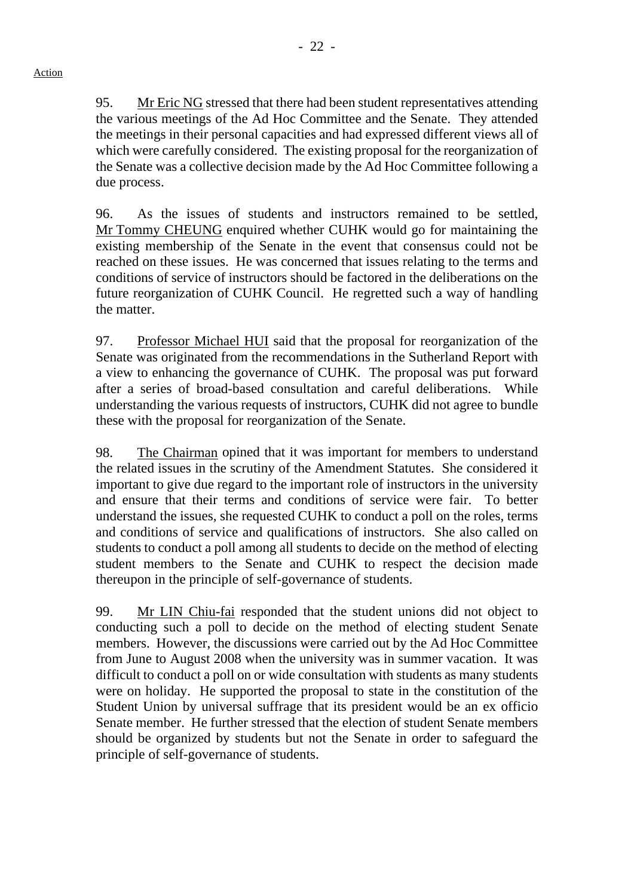95. Mr Eric NG stressed that there had been student representatives attending the various meetings of the Ad Hoc Committee and the Senate. They attended the meetings in their personal capacities and had expressed different views all of which were carefully considered. The existing proposal for the reorganization of the Senate was a collective decision made by the Ad Hoc Committee following a due process.

96. As the issues of students and instructors remained to be settled, Mr Tommy CHEUNG enquired whether CUHK would go for maintaining the existing membership of the Senate in the event that consensus could not be reached on these issues. He was concerned that issues relating to the terms and conditions of service of instructors should be factored in the deliberations on the future reorganization of CUHK Council. He regretted such a way of handling the matter.

97. Professor Michael HUI said that the proposal for reorganization of the Senate was originated from the recommendations in the Sutherland Report with a view to enhancing the governance of CUHK. The proposal was put forward after a series of broad-based consultation and careful deliberations. While understanding the various requests of instructors, CUHK did not agree to bundle these with the proposal for reorganization of the Senate.

98. The Chairman opined that it was important for members to understand the related issues in the scrutiny of the Amendment Statutes. She considered it important to give due regard to the important role of instructors in the university and ensure that their terms and conditions of service were fair. To better understand the issues, she requested CUHK to conduct a poll on the roles, terms and conditions of service and qualifications of instructors. She also called on students to conduct a poll among all students to decide on the method of electing student members to the Senate and CUHK to respect the decision made thereupon in the principle of self-governance of students.

99. Mr LIN Chiu-fai responded that the student unions did not object to conducting such a poll to decide on the method of electing student Senate members. However, the discussions were carried out by the Ad Hoc Committee from June to August 2008 when the university was in summer vacation. It was difficult to conduct a poll on or wide consultation with students as many students were on holiday. He supported the proposal to state in the constitution of the Student Union by universal suffrage that its president would be an ex officio Senate member. He further stressed that the election of student Senate members should be organized by students but not the Senate in order to safeguard the principle of self-governance of students.